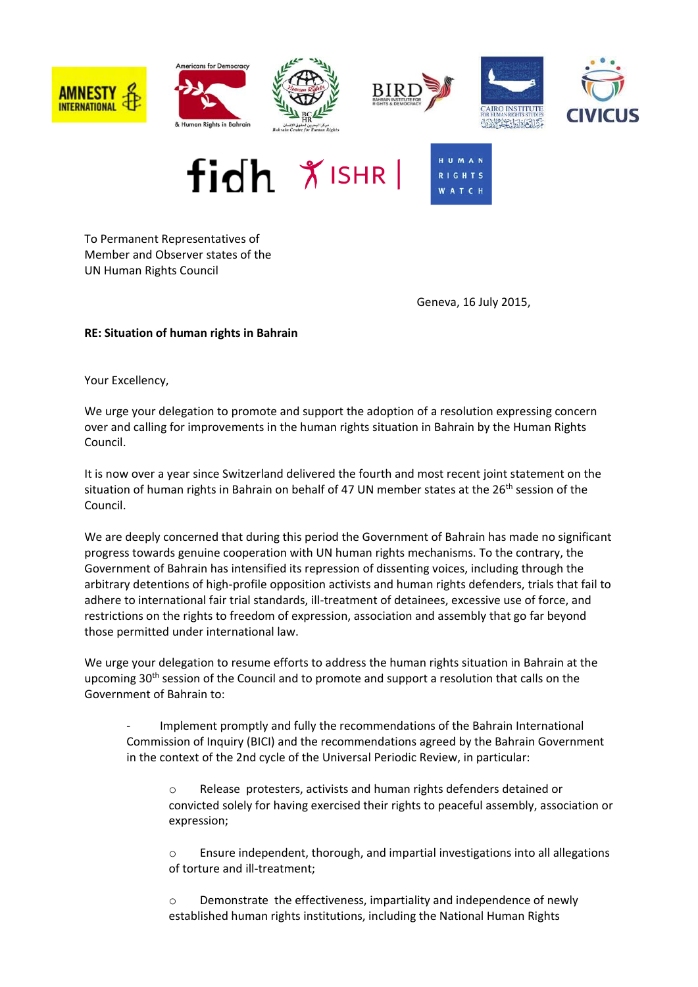



To Permanent Representatives of Member and Observer states of the UN Human Rights Council

Geneva, 16 July 2015,

## **RE: Situation of human rights in Bahrain**

Your Excellency,

We urge your delegation to promote and support the adoption of a resolution expressing concern over and calling for improvements in the human rights situation in Bahrain by the Human Rights Council.

It is now over a year since Switzerland delivered the fourth and most recent joint statement on the situation of human rights in Bahrain on behalf of 47 UN member states at the  $26<sup>th</sup>$  session of the Council.

We are deeply concerned that during this period the Government of Bahrain has made no significant progress towards genuine cooperation with UN human rights mechanisms. To the contrary, the Government of Bahrain has intensified its repression of dissenting voices, including through the arbitrary detentions of high-profile opposition activists and human rights defenders, trials that fail to adhere to international fair trial standards, ill-treatment of detainees, excessive use of force, and restrictions on the rights to freedom of expression, association and assembly that go far beyond those permitted under international law.

We urge your delegation to resume efforts to address the human rights situation in Bahrain at the upcoming  $30<sup>th</sup>$  session of the Council and to promote and support a resolution that calls on the Government of Bahrain to:

- Implement promptly and fully the recommendations of the Bahrain International Commission of Inquiry (BICI) and the recommendations agreed by the Bahrain Government in the context of the 2nd cycle of the Universal Periodic Review, in particular:

o Release protesters, activists and human rights defenders detained or convicted solely for having exercised their rights to peaceful assembly, association or expression;

o Ensure independent, thorough, and impartial investigations into all allegations of torture and ill-treatment;

o Demonstrate the effectiveness, impartiality and independence of newly established human rights institutions, including the National Human Rights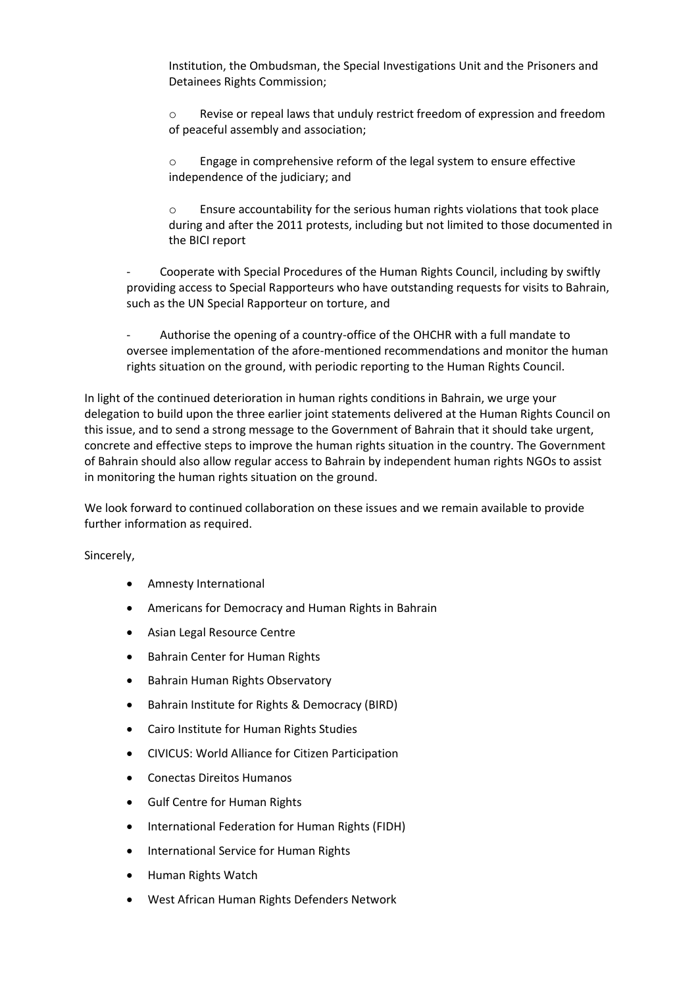Institution, the Ombudsman, the Special Investigations Unit and the Prisoners and Detainees Rights Commission;

o Revise or repeal laws that unduly restrict freedom of expression and freedom of peaceful assembly and association;

o Engage in comprehensive reform of the legal system to ensure effective independence of the judiciary; and

o Ensure accountability for the serious human rights violations that took place during and after the 2011 protests, including but not limited to those documented in the BICI report

- Cooperate with Special Procedures of the Human Rights Council, including by swiftly providing access to Special Rapporteurs who have outstanding requests for visits to Bahrain, such as the UN Special Rapporteur on torture, and

- Authorise the opening of a country-office of the OHCHR with a full mandate to oversee implementation of the afore-mentioned recommendations and monitor the human rights situation on the ground, with periodic reporting to the Human Rights Council.

In light of the continued deterioration in human rights conditions in Bahrain, we urge your delegation to build upon the three earlier joint statements delivered at the Human Rights Council on this issue, and to send a strong message to the Government of Bahrain that it should take urgent, concrete and effective steps to improve the human rights situation in the country. The Government of Bahrain should also allow regular access to Bahrain by independent human rights NGOs to assist in monitoring the human rights situation on the ground.

We look forward to continued collaboration on these issues and we remain available to provide further information as required.

Sincerely,

- Amnesty International
- Americans for Democracy and Human Rights in Bahrain
- Asian Legal Resource Centre
- Bahrain Center for Human Rights
- Bahrain Human Rights Observatory
- Bahrain Institute for Rights & Democracy (BIRD)
- Cairo Institute for Human Rights Studies
- CIVICUS: World Alliance for Citizen Participation
- Conectas Direitos Humanos
- Gulf Centre for Human Rights
- International Federation for Human Rights (FIDH)
- International Service for Human Rights
- Human Rights Watch
- West African Human Rights Defenders Network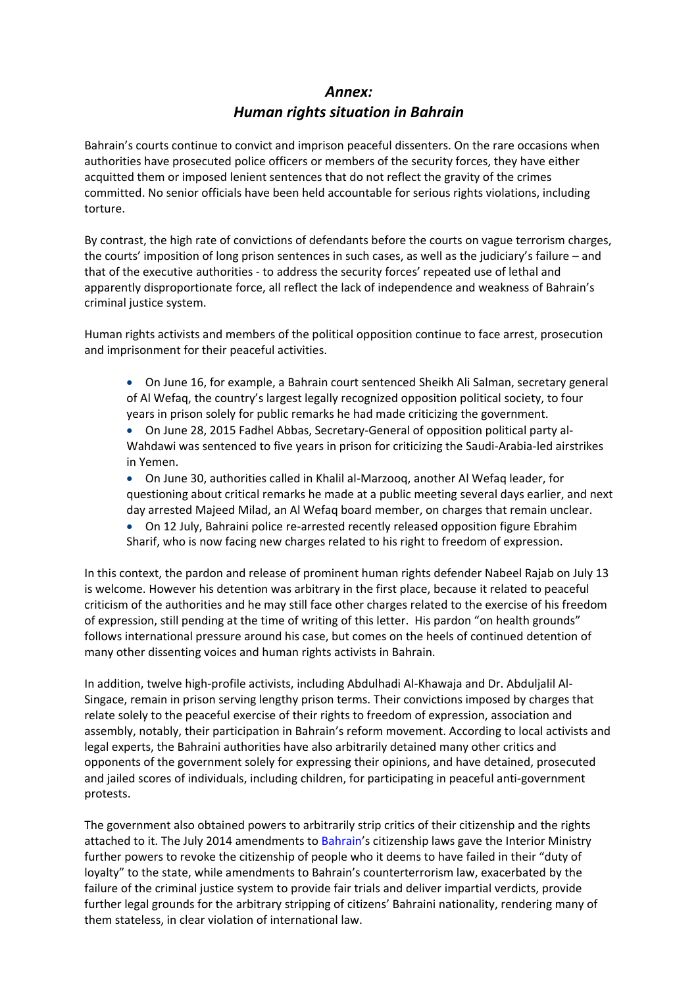## *Annex: Human rights situation in Bahrain*

Bahrain's courts continue to convict and imprison peaceful dissenters. On the rare occasions when authorities have prosecuted police officers or members of the security forces, they have either acquitted them or imposed lenient sentences that do not reflect the gravity of the crimes committed. No senior officials have been held accountable for serious rights violations, including torture.

By contrast, the high rate of convictions of defendants before the courts on vague terrorism charges, the courts' imposition of long prison sentences in such cases, as well as the judiciary's failure – and that of the executive authorities - to address the security forces' repeated use of lethal and apparently disproportionate force, all reflect the lack of independence and weakness of Bahrain's criminal justice system.

Human rights activists and members of the political opposition continue to face arrest, prosecution and imprisonment for their peaceful activities.

- On June 16, for example, a Bahrain court sentenced Sheikh Ali Salman, secretary general of Al Wefaq, the country's largest legally recognized opposition political society, to four years in prison solely for public remarks he had made criticizing the government.
- On June 28, 2015 Fadhel Abbas, Secretary-General of opposition political party al-Wahdawi was sentenced to five years in prison for criticizing the Saudi-Arabia-led airstrikes in Yemen.
- On June 30, authorities called in Khalil al-Marzooq, another Al Wefaq leader, for questioning about critical remarks he made at a public meeting several days earlier, and next day arrested Majeed Milad, an Al Wefaq board member, on charges that remain unclear.
- On 12 July, Bahraini police re-arrested recently released opposition figure Ebrahim Sharif, who is now facing new charges related to his right to freedom of expression.

In this context, the pardon and release of prominent human rights defender Nabeel Rajab on July 13 is welcome. However his detention was arbitrary in the first place, because it related to peaceful criticism of the authorities and he may still face other charges related to the exercise of his freedom of expression, still pending at the time of writing of this letter. His pardon "on health grounds" follows international pressure around his case, but comes on the heels of continued detention of many other dissenting voices and human rights activists in Bahrain.

In addition, twelve high-profile activists, including Abdulhadi Al-Khawaja and Dr. Abduljalil Al-Singace, remain in prison serving lengthy prison terms. Their convictions imposed by charges that relate solely to the peaceful exercise of their rights to freedom of expression, association and assembly, notably, their participation in Bahrain's reform movement. According to local activists and legal experts, the Bahraini authorities have also arbitrarily detained many other critics and opponents of the government solely for expressing their opinions, and have detained, prosecuted and jailed scores of individuals, including children, for participating in peaceful anti-government protests.

The government also obtained powers to arbitrarily strip critics of their citizenship and the rights attached to it. The July 2014 amendments to [Bahrain](http://www.hrw.org/middle-eastn-africa/bahrain)'s citizenship laws gave the Interior Ministry further powers to revoke the citizenship of people who it deems to have failed in their "duty of loyalty" to the state, while amendments to Bahrain's counterterrorism law, exacerbated by the failure of the criminal justice system to provide fair trials and deliver impartial verdicts, provide further legal grounds for the arbitrary stripping of citizens' Bahraini nationality, rendering many of them stateless, in clear violation of international law.